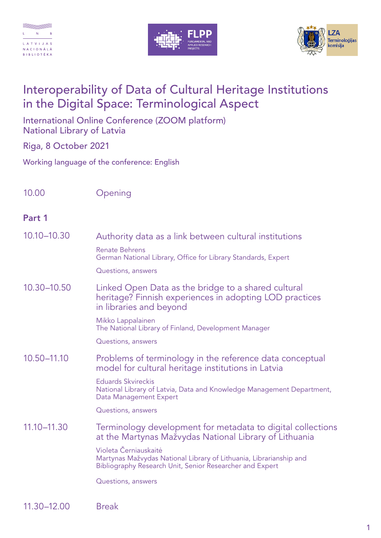





## Interoperability of Data of Cultural Heritage Institutions in the Digital Space: Terminological Aspect

International Online Conference (ZOOM platform) National Library of Latvia

Riga, 8 October 2021

Working language of the conference: English

10.00 Opening

## Part 1

| 10.10-10.30 | Authority data as a link between cultural institutions                                                                                                  |
|-------------|---------------------------------------------------------------------------------------------------------------------------------------------------------|
|             | <b>Renate Behrens</b><br>German National Library, Office for Library Standards, Expert                                                                  |
|             | Questions, answers                                                                                                                                      |
| 10.30-10.50 | Linked Open Data as the bridge to a shared cultural<br>heritage? Finnish experiences in adopting LOD practices<br>in libraries and beyond               |
|             | Mikko Lappalainen<br>The National Library of Finland, Development Manager                                                                               |
|             | Questions, answers                                                                                                                                      |
| 10.50-11.10 | Problems of terminology in the reference data conceptual<br>model for cultural heritage institutions in Latvia                                          |
|             | <b>Eduards Skvireckis</b><br>National Library of Latvia, Data and Knowledge Management Department,<br>Data Management Expert                            |
|             | Questions, answers                                                                                                                                      |
| 11.10-11.30 | Terminology development for metadata to digital collections<br>at the Martynas Mažvydas National Library of Lithuania                                   |
|             | Violeta Černiauskaitė<br>Martynas Mažvydas National Library of Lithuania, Librarianship and<br>Bibliography Research Unit, Senior Researcher and Expert |
|             | Questions, answers                                                                                                                                      |
|             |                                                                                                                                                         |